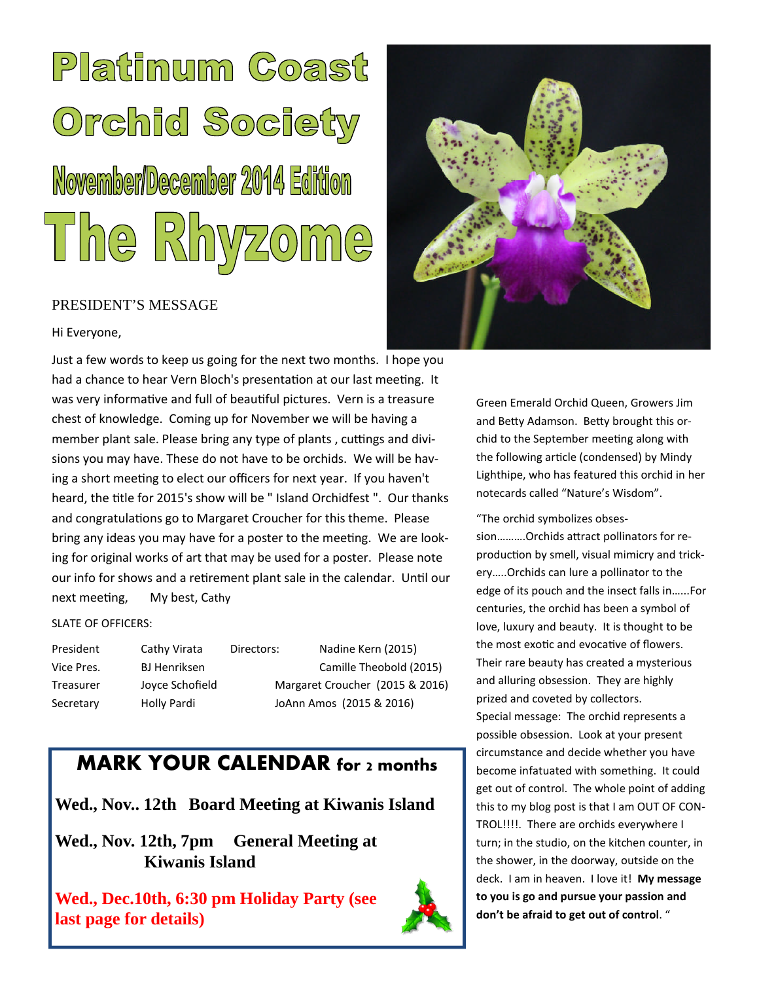# Platinum Coast Orchid Society November/December 2014 Edition The Rhyzome

#### PRESIDENT'S MESSAGE

Hi Everyone,

Just a few words to keep us going for the next two months. I hope you had a chance to hear Vern Bloch's presentation at our last meeting. It was very informative and full of beautiful pictures. Vern is a treasure chest of knowledge. Coming up for November we will be having a member plant sale. Please bring any type of plants, cuttings and divisions you may have. These do not have to be orchids. We will be having a short meeting to elect our officers for next year. If you haven't heard, the title for 2015's show will be " Island Orchidfest ". Our thanks and congratulations go to Margaret Croucher for this theme. Please bring any ideas you may have for a poster to the meeting. We are looking for original works of art that may be used for a poster. Please note our info for shows and a retirement plant sale in the calendar. Until our next meeting, My best, Cathy

#### SLATE OF OFFICERS:

President Cathy Virata Directors: Nadine Kern (2015) Secretary Holly Pardi JoAnn Amos (2015 & 2016)

Vice Pres. BJ Henriksen Camille Theobold (2015) Treasurer Joyce Schofield Margaret Croucher (2015 & 2016)

### **MARK YOUR CALENDAR for 2 months**

**Wed., Nov.. 12th Board Meeting at Kiwanis Island**

**Wed., Nov. 12th, 7pm General Meeting at Kiwanis Island**





Green Emerald Orchid Queen, Growers Jim and Betty Adamson. Betty brought this orchid to the September meeting along with the following article (condensed) by Mindy Lighthipe, who has featured this orchid in her notecards called "Nature's Wisdom".

"The orchid symbolizes obses-

sion..........Orchids attract pollinators for reproduction by smell, visual mimicry and trickery…..Orchids can lure a pollinator to the edge of its pouch and the insect falls in…...For centuries, the orchid has been a symbol of love, luxury and beauty. It is thought to be the most exotic and evocative of flowers. Their rare beauty has created a mysterious and alluring obsession. They are highly prized and coveted by collectors. Special message: The orchid represents a possible obsession. Look at your present circumstance and decide whether you have become infatuated with something. It could get out of control. The whole point of adding this to my blog post is that I am OUT OF CON-TROL!!!!. There are orchids everywhere I turn; in the studio, on the kitchen counter, in the shower, in the doorway, outside on the deck. I am in heaven. I love it! **My message to you is go and pursue your passion and don't be afraid to get out of control**. "

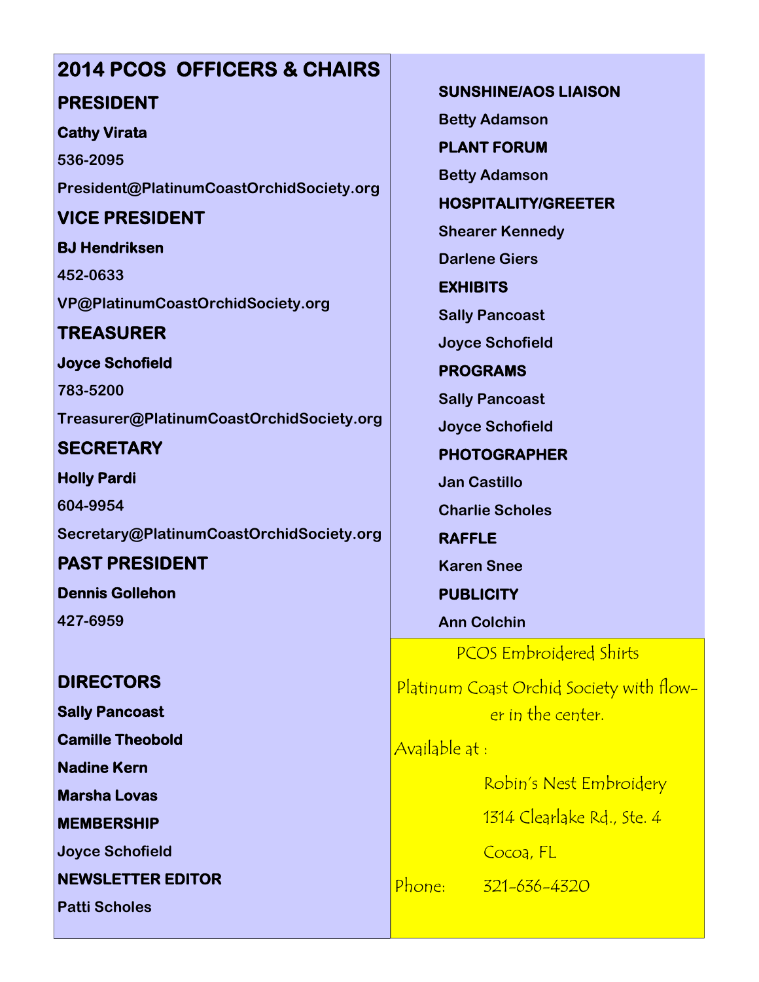## **2014 PCOS OFFICERS & CHAIRS PRESIDENT**

#### **Cathy Virata**

**536-2095 President@PlatinumCoastOrchidSociety.org**

#### **VICE PRESIDENT**

**BJ Hendriksen 452-0633 VP@PlatinumCoastOrchidSociety.org**

#### **TREASURER**

**Joyce Schofield**

**783-5200 Treasurer@PlatinumCoastOrchidSociety.org**

**SECRETARY**

**Holly Pardi 604-9954 Secretary@PlatinumCoastOrchidSociety.org**

**PAST PRESIDENT Dennis Gollehon**

**427-6959**

#### **DIRECTORS**

**Sally Pancoast**

**Camille Theobold**

**Nadine Kern**

**Marsha Lovas**

**MEMBERSHIP**

**Joyce Schofield**

**NEWSLETTER EDITOR**

**Patti Scholes**

**SUNSHINE/AOS LIAISON Betty Adamson PLANT FORUM**

**Betty Adamson**

**HOSPITALITY/GREETER**

**Shearer Kennedy**

**Darlene Giers**

**EXHIBITS**

**Sally Pancoast**

**Joyce Schofield**

**PROGRAMS**

**Sally Pancoast**

**Joyce Schofield**

**PHOTOGRAPHER**

**Jan Castillo**

**Charlie Scholes**

**RAFFLE Karen Snee**

**PUBLICITY**

**Ann Colchin**

PCOS Embroidered Shirts

Platinum Coast Orchid Society with flower in the center.

Available at :

Robin's Nest Embroidery

1314 Clearlake Rd., Ste. 4

Cocoa, FL

Phone: 321-636-4320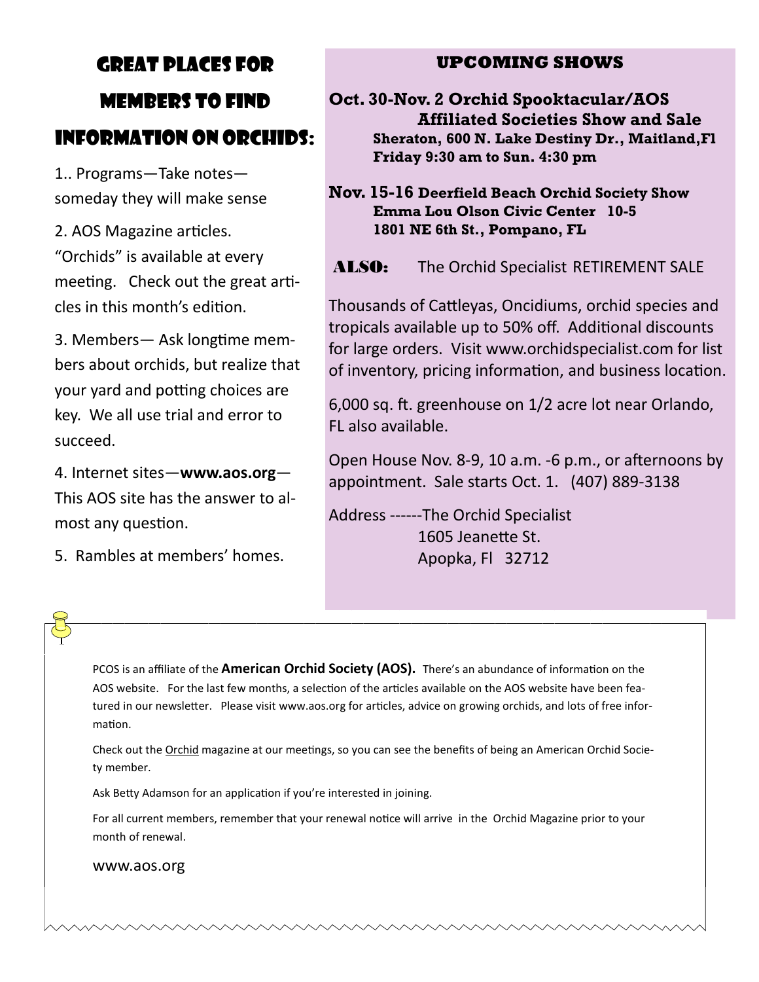# GREAT PLACES FOR MEMBERS TO FIND INFORMATION ON ORCHIDS:

1.. Programs—Take notes someday they will make sense

2. AOS Magazine articles. "Orchids" is available at every meeting. Check out the great articles in this month's edition.

3. Members— Ask longtime members about orchids, but realize that vour vard and potting choices are key. We all use trial and error to succeed.

4. Internet sites—**www.aos.org**— This AOS site has the answer to almost any question.

5. Rambles at members' homes.

#### **UPCOMING SHOWS**

**Oct. 30-Nov. 2 Orchid Spooktacular/AOS Affiliated Societies Show and Sale Sheraton, 600 N. Lake Destiny Dr., Maitland,Fl Friday 9:30 am to Sun. 4:30 pm**

**Nov. 15-16 Deerfield Beach Orchid Society Show Emma Lou Olson Civic Center 10-5 1801 NE 6th St., Pompano, FL**

ALSO: The Orchid Specialist RETIREMENT SALE

Thousands of Cattleyas, Oncidiums, orchid species and tropicals available up to 50% off. Additional discounts for large orders. Visit www.orchidspecialist.com for list of inventory, pricing information, and business location.

6,000 sq. ft. greenhouse on 1/2 acre lot near Orlando, FL also available.

Open House Nov. 8-9, 10 a.m. -6 p.m., or afternoons by appointment. Sale starts Oct. 1. (407) 889-3138

Address ------The Orchid Specialist 1605 Jeanette St. Apopka, Fl 32712

PCOS is an affiliate of the **American Orchid Society (AOS).** There's an abundance of information on the AOS website. For the last few months, a selection of the articles available on the AOS website have been featured in our newsletter. Please visit www.aos.org for articles, advice on growing orchids, and lots of free information.

Check out the Orchid magazine at our meetings, so you can see the benefits of being an American Orchid Society member.

Ask Betty Adamson for an application if you're interested in joining.

For all current members, remember that your renewal notice will arrive in the Orchid Magazine prior to your month of renewal.

www.aos.org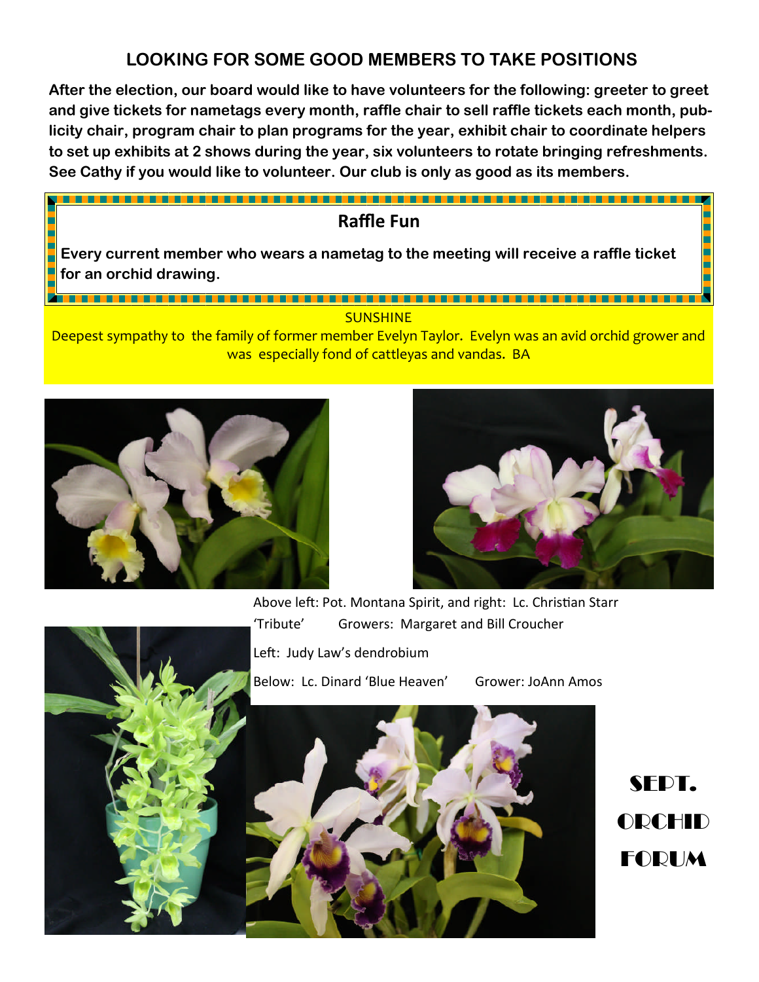#### **LOOKING FOR SOME GOOD MEMBERS TO TAKE POSITIONS**

**After the election, our board would like to have volunteers for the following: greeter to greet and give tickets for nametags every month, raffle chair to sell raffle tickets each month, publicity chair, program chair to plan programs for the year, exhibit chair to coordinate helpers to set up exhibits at 2 shows during the year, six volunteers to rotate bringing refreshments. See Cathy if you would like to volunteer. Our club is only as good as its members.**

#### **Raffle Fun**

**Every current member who wears a nametag to the meeting will receive a raffle ticket for an orchid drawing.**

#### SUNSHINE

Deepest sympathy to the family of former member Evelyn Taylor. Evelyn was an avid orchid grower and was especially fond of cattleyas and vandas. BA





Above left: Pot. Montana Spirit, and right: Lc. Christian Starr 'Tribute' Growers: Margaret and Bill Croucher Left: Judy Law's dendrobium Below: Lc. Dinard 'Blue Heaven' Grower: JoAnn Amos



SFDT. ORCHID FORUM